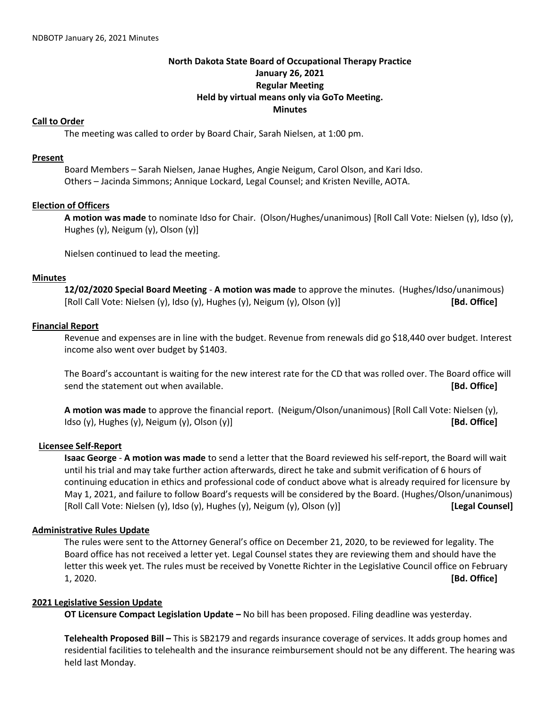## **North Dakota State Board of Occupational Therapy Practice January 26, 2021 Regular Meeting Held by virtual means only via GoTo Meeting. Minutes**

## **Call to Order**

The meeting was called to order by Board Chair, Sarah Nielsen, at 1:00 pm.

#### **Present**

Board Members – Sarah Nielsen, Janae Hughes, Angie Neigum, Carol Olson, and Kari Idso. Others – Jacinda Simmons; Annique Lockard, Legal Counsel; and Kristen Neville, AOTA.

## **Election of Officers**

**A motion was made** to nominate Idso for Chair. (Olson/Hughes/unanimous) [Roll Call Vote: Nielsen (y), Idso (y), Hughes (y), Neigum (y), Olson (y)]

Nielsen continued to lead the meeting.

## **Minutes**

**12/02/2020 Special Board Meeting** - **A motion was made** to approve the minutes. (Hughes/Idso/unanimous) [Roll Call Vote: Nielsen (y), Idso (y), Hughes (y), Neigum (y), Olson (y)] **[Bd. Office]**

## **Financial Report**

Revenue and expenses are in line with the budget. Revenue from renewals did go \$18,440 over budget. Interest income also went over budget by \$1403.

The Board's accountant is waiting for the new interest rate for the CD that was rolled over. The Board office will send the statement out when available. **[Bd. Office]**

**A motion was made** to approve the financial report. (Neigum/Olson/unanimous) [Roll Call Vote: Nielsen (y), Idso (y), Hughes (y), Neigum (y), Olson (y)] **[Bd. Office]**

## **Licensee Self-Report**

**Isaac George** - **A motion was made** to send a letter that the Board reviewed his self-report, the Board will wait until his trial and may take further action afterwards, direct he take and submit verification of 6 hours of continuing education in ethics and professional code of conduct above what is already required for licensure by May 1, 2021, and failure to follow Board's requests will be considered by the Board. (Hughes/Olson/unanimous) [Roll Call Vote: Nielsen (y), Idso (y), Hughes (y), Neigum (y), Olson (y)] **[Legal Counsel]**

## **Administrative Rules Update**

The rules were sent to the Attorney General's office on December 21, 2020, to be reviewed for legality. The Board office has not received a letter yet. Legal Counsel states they are reviewing them and should have the letter this week yet. The rules must be received by Vonette Richter in the Legislative Council office on February 1, 2020. **[Bd. Office]**

## **2021 Legislative Session Update**

**OT Licensure Compact Legislation Update –** No bill has been proposed. Filing deadline was yesterday.

**Telehealth Proposed Bill –** This is SB2179 and regards insurance coverage of services. It adds group homes and residential facilities to telehealth and the insurance reimbursement should not be any different. The hearing was held last Monday.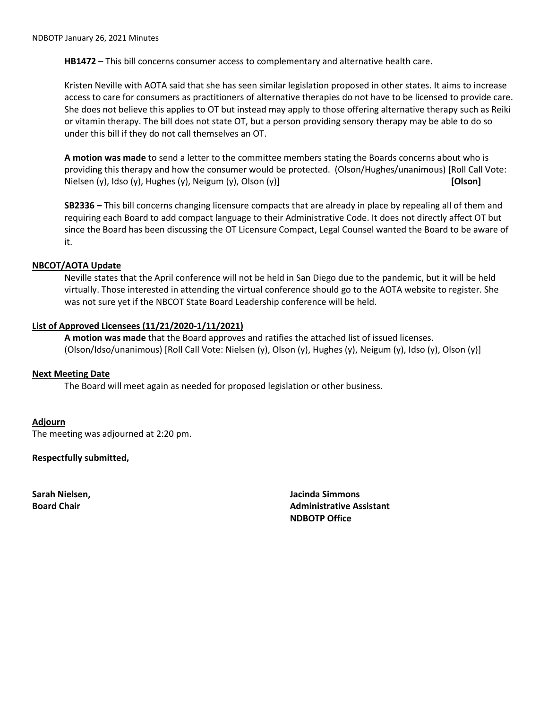**HB1472** – This bill concerns consumer access to complementary and alternative health care.

Kristen Neville with AOTA said that she has seen similar legislation proposed in other states. It aims to increase access to care for consumers as practitioners of alternative therapies do not have to be licensed to provide care. She does not believe this applies to OT but instead may apply to those offering alternative therapy such as Reiki or vitamin therapy. The bill does not state OT, but a person providing sensory therapy may be able to do so under this bill if they do not call themselves an OT.

**A motion was made** to send a letter to the committee members stating the Boards concerns about who is providing this therapy and how the consumer would be protected. (Olson/Hughes/unanimous) [Roll Call Vote: Nielsen (y), Idso (y), Hughes (y), Neigum (y), Olson (y)] **[Olson]**

**SB2336 –** This bill concerns changing licensure compacts that are already in place by repealing all of them and requiring each Board to add compact language to their Administrative Code. It does not directly affect OT but since the Board has been discussing the OT Licensure Compact, Legal Counsel wanted the Board to be aware of it.

## **NBCOT/AOTA Update**

Neville states that the April conference will not be held in San Diego due to the pandemic, but it will be held virtually. Those interested in attending the virtual conference should go to the AOTA website to register. She was not sure yet if the NBCOT State Board Leadership conference will be held.

## **List of Approved Licensees (11/21/2020-1/11/2021)**

**A motion was made** that the Board approves and ratifies the attached list of issued licenses. (Olson/Idso/unanimous) [Roll Call Vote: Nielsen (y), Olson (y), Hughes (y), Neigum (y), Idso (y), Olson (y)]

#### **Next Meeting Date**

The Board will meet again as needed for proposed legislation or other business.

**Adjourn**  The meeting was adjourned at 2:20 pm.

**Respectfully submitted,**

**Sarah Nielsen, Jacinda Simmons Board Chair Administrative Assistant Administrative Assistant NDBOTP Office**